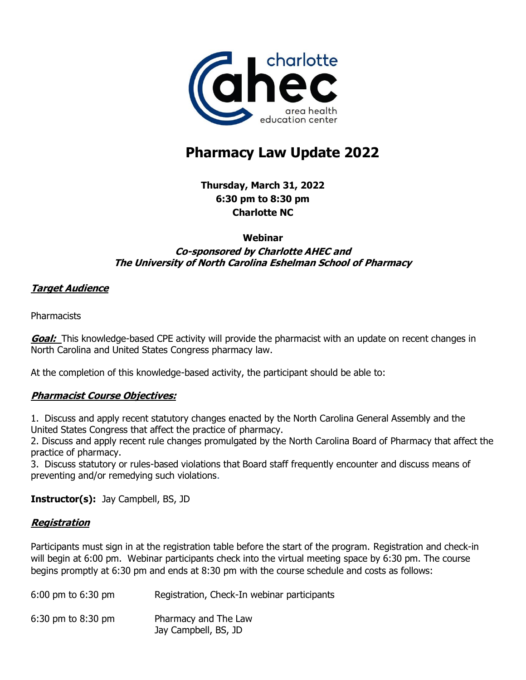

# **Pharmacy Law Update 2022**

**Thursday, March 31, 2022 6:30 pm to 8:30 pm Charlotte NC** 

#### **Webinar**

### **Co-sponsored by Charlotte AHEC and The University of North Carolina Eshelman School of Pharmacy**

### **Target Audience**

**Pharmacists** 

**Goal:** This knowledge-based CPE activity will provide the pharmacist with an update on recent changes in North Carolina and United States Congress pharmacy law.

At the completion of this knowledge-based activity, the participant should be able to:

### **Pharmacist Course Objectives:**

1. Discuss and apply recent statutory changes enacted by the North Carolina General Assembly and the United States Congress that affect the practice of pharmacy.

2. Discuss and apply recent rule changes promulgated by the North Carolina Board of Pharmacy that affect the practice of pharmacy.

3. Discuss statutory or rules-based violations that Board staff frequently encounter and discuss means of preventing and/or remedying such violations.

**Instructor(s):** Jay Campbell, BS, JD

### **Registration**

Participants must sign in at the registration table before the start of the program. Registration and check-in will begin at 6:00 pm. Webinar participants check into the virtual meeting space by 6:30 pm. The course begins promptly at 6:30 pm and ends at 8:30 pm with the course schedule and costs as follows:

| 6:00 pm to 6:30 pm | Registration, Check-In webinar participants  |
|--------------------|----------------------------------------------|
| 6:30 pm to 8:30 pm | Pharmacy and The Law<br>Jay Campbell, BS, JD |